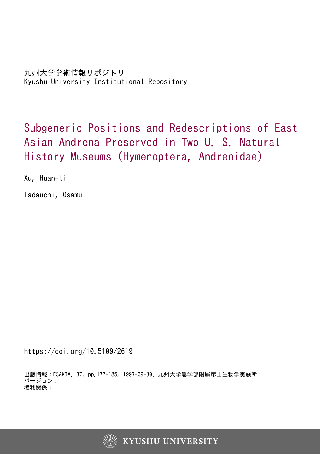Subgeneric Positions and Redescriptions of East Asian Andrena Preserved in Two U. S. Natural History Museums (Hymenoptera, Andrenidae)

Xu, Huan-li

Tadauchi, Osamu

https://doi.org/10.5109/2619

出版情報:ESAKIA. 37, pp.177-185, 1997-09-30. 九州大学農学部附属彦山生物学実験所 バージョン: 権利関係:

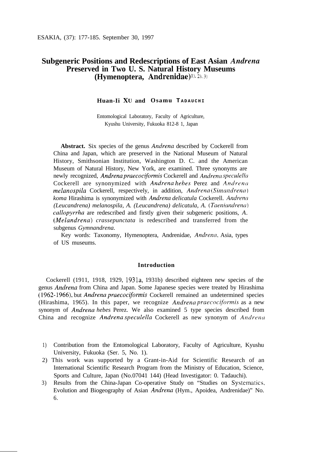# **Subgeneric Positions and Redescriptions of East Asian** *Andrena* **Preserved in Two U. S. Natural History Museums (Hymenoptera, Andrenidae)**<sup>11, 2</sup>, 3)

# **Huan-Ii XV and Osamu T ADAUCHI**

Entomological Laboratory, Faculty of Agriculture, Kyushu University, Fukuoka 812-8 1, Japan

**Abstract.** Six species of the genus *Andrena* described by Cockerell from China and Japan, which are preserved in the National Museum of Natural History, Smithsonian Institution, Washington D. C. and the American Museum of Natural History, New York, are examined. Three synonyms are newly recognized, *Andrena praecociformis* Cockerell and *Andrena speculellcr* Cockerell are synonymized with *Andrena hebes* Perez and *Andrencl melanospila* Cockerell, respectively, in addition, *Andrena* (Simandrena) *koma* Hirashima is synonymized with *Andrena delicatula* Cockerell. *Andrena (Leucandrena) melanospila, A. (Leucandrena) delicatula, A. (Taeniandrena) callopyrrha* are redescribed and firstly given their subgeneric positions, *A. (Melandrena) crassepunctata* is redescribed and transferred from the subgenus *Gymnandrena.*

Key words: Taxonomy, Hymenoptera, Andrenidae, *Andrenn,* Asia, types of US museums.

## **Introduction**

Cockerell (1911, 1918, 1929, 1931a, 1931b) described eighteen new species of the genus *Andrena* from China and Japan. Some Japanese species were treated by Hirashima (1962- 1966), but *Andrena pruecociformis* Cockerell remained an undetermined species (Hirashima, 1965). In this paper, we recognize *Andrena praecociformis* as a new synonym of *Andrena hebes* Perez. We also examined 5 type species described from China and recognize *Andrena speculella* Cockerell as new synonym of *Andrena* 

- 1) Contribution from the Entomological Laboratory, Faculty of Agriculture, Kyushu University, Fukuoka (Ser. 5, No. 1).
- 2) This work was supported by a Grant-in-Aid for Scientific Research of an International Scientific Research Program from the Ministry of Education, Science, Sports and Culture, Japan (No.07041 144) (Head Investigator: 0. Tadauchi).
- 3) Results from the China-Japan Co-operative Study on "Studies on Systematics, Evolution and Biogeography of Asian *Andrena* (Hym., Apoidea, Andrenidae)" No. 6.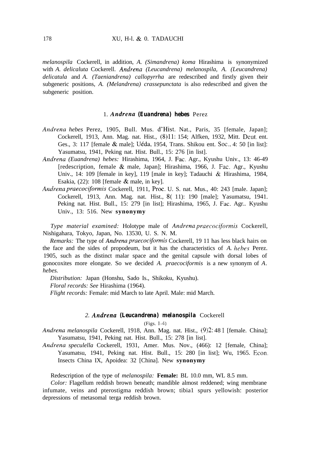*melanospila* Cockerell, in addition, *A. (Simandrena) koma* Hirashima is synonymized with *A. delicaluta* Cockerell. *Andrena (Leucandrena) melanospila, A. (Leucandrena) delicatula* and *A. (Taeniandrena) callopyrrha* are redescribed and firstly given their subgeneric positions, *A. (Melandrena) crassepunctata* is also redescribed and given the subgeneric position.

## 1. *Andrena (Euandrena) hebes* Perez

- *Andrena hebes* Perez, 1905, Bull. Mus. d'Hist. Nat., Paris, 35 [female, Japan]; Cockerell, 1913, Ann. Mag. nat. Hist., (8)11: 154; Alfken, 1932, Mitt. Deut. ent. Ges., 3: 117 [female  $\&$  male]; Uéda, 1954, Trans. Shikou ent. Soc., 4: 50 [in list]: Yasumatsu, 1941, Peking nat. Hist. Bull., 15: 276 [in list].
- *Andrena (Euandrena) hebes:* Hirashima, 1964, J. Fat. Agr., Kyushu Univ., 13: 46-49 [redescription, female  $\&$  male, Japan]; Hirashima, 1966, J. Fac. Agr., Kyushu Univ., 14: 109 [female in key], 119 [male in key]; Tadauchi & Hirashima, 1984, Esakia,  $(22)$ : 108 [female  $\&$  male, in key].
- *Andrena praecociformis* Cockerell, 1911, Proc. U. S. nat. Mus., 40: 243 [male. Japan]; Cockerell, 1913, Ann. Mag. nat. Hist., 8( 11): 190 [male]; Yasumatsu, 1941. Peking nat. Hist. Bull., 15: 279 [in list]; Hirashima, 1965, J. Fac. Agr.. Kyushu Univ., 13: 516. New **synonymy**

*Type material examined:* Holotype male of *Andrena praecociformis* Cockerell, Nishigahara, Tokyo, Japan, No. 13530, U. S. N. M.

*Remarks:* The type of *Andrena praecocfomzis* Cockerell, 19 11 has less black hairs on the face and the sides of propodeum, but it has the characteristics of *A. hehes* Perez. 1905, such as the distinct malar space and the genital capsule with dorsal lobes of gonocoxites more elongate. So we decided *A. praecociformis* is a new synonym of *A. hebes.*

*Distribution:* Japan (Honshu, Sado Is., Shikoku, Kyushu). *Floral records: See* Hirashima (1964).

*Flight records:* Female: mid March to late April. Male: mid March.

### *2. Andrena (Leucandrena) melanospila* Cockerell

(Figs. 1-4)

*Andrena melanospila* Cockerell, 1918, Ann. Mag. nat. Hist., (9)2: 48 1 [female. China]; Yasumatsu, 1941, Peking nat. Hist. Bull., 15: 278 [in list].

*Andrena speculella* Cockerell, 1931, Amer. Mus. Nov., (466): 12 [female, China]; Yasumatsu, 1941, Peking nat. Hist. Bull., 15: 280 [in list]; Wu, 1965. Econ. Insects China IX, Apoidea: 32 [China]. New **synonymy**

Redescription of the type of *melanospila:* **Female:** BL 10.0 mm, WL 8.5 mm.

*Color:* Flagellum reddish brown beneath; mandible almost reddened; wing membrane infumate, veins and pterostigma reddish brown; tibia1 spurs yellowish: posterior depressions of metasomal terga reddish brown.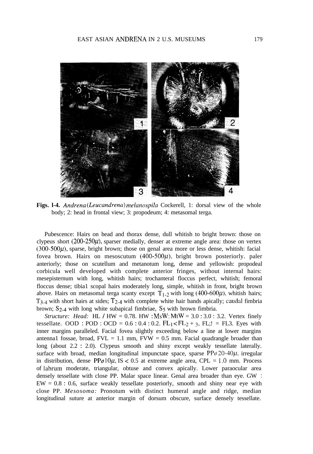

**Figs. l-4.** *Andrena (Leucandrena) melanospila* Cockerell, 1: dorsal view of the whole body; 2: head in frontal view; 3: propodeum; 4: metasomal terga.

Pubescence: Hairs on head and thorax dense, dull whitish to bright brown: those on clypeus short  $(200-250\mu)$ , sparser medially, denser at extreme angle area: those on vertex  $(300-500\mu)$ , sparse, bright brown; those on genal area more or less dense, whitish: facial fovea brown. Hairs on mesoscutum  $(400-500\mu)$ , bright brown posteriorly. paler anteriorly; those on scutellum and metanotum long, dense and yellowish: propodeal corbicula well developed with complete anterior fringes, without internal hairs: mesepisternum with long, whitish hairs; trochanteral floccus perfect, whitish; femoral floccus dense; tibia1 scopal hairs moderately long, simple, whitish in front, bright brown above. Hairs on metasomal terga scanty except  $T_{1-2}$  with long (400-600 $\mu$ ), whitish hairs;  $T_{3-4}$  with short hairs at sides;  $T_{2-4}$  with complete white hair bands apically; caudal fimbria brown;  $S_{2-4}$  with long white subapical fimbriae,  $S_5$  with brown fimbria.

*Structure: Head:* HL / HW = 0.78. HW :  $MSW$ : MtW = 3.0 : 3.0 : 3.2. Vertex finely tessellate. OOD : POD : OCD =  $0.6 : 0.4 : 0.2$ . FL<sub>1</sub> < FL<sub>2</sub> + 3, FL;! = FL3. Eyes with inner margins paralleled. Facial fovea slightly exceeding below a line at lower margins antenna1 fossae, broad,  $FVL = 1.1$  mm,  $FVW = 0.5$  mm. Facial quadrangle broader than long (about 2.2 : 2.0). Clypeus smooth and shiny except weakly tessellate laterally. surface with broad, median longitudinal impunctate space, sparse  $PP\varphi 20-40\mu$ , irregular in distribution, dense  $PP\varphi 10\mu$ , IS < 0.5 at extreme angle area, CPL = 1.0 mm. Process of labrum moderate, triangular, obtuse and convex apically. Lower paraocular area densely tessellate with close PP. Malar space linear. Genal area broader than eye. GW :  $EW = 0.8$ : 0.6, surface weakly tessellate posteriorly, smooth and shiny near eye with close PP. *Mesosoma:* Pronotum with distinct humeral angle and ridge, median longitudinal suture at anterior margin of dorsum obscure, surface densely tessellate.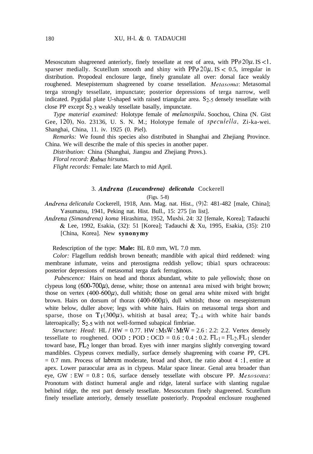Mesoscutum shagreened anteriorly, finely tessellate at rest of area, with  $PP\varphi 20\mu$ , IS < 1, sparser medially. Scutellum smooth and shiny with  $PP\phi 20\mu$ , IS < 0.5, irregular in distribution. Propodeal enclosure large, finely granulate all over: dorsal face weakly roughened. Mesepisternum shagreened by coarse tessellation. Metasoma: Metasomal terga strongly tessellate, impunctate; posterior depressions of terga narrow, well indicated. Pygidial plate U-shaped with raised triangular area.  $S<sub>2-5</sub>$  densely tessellate with close PP except  $S_{2-3}$  weakly tessellate basally, impunctate.

*Type material examined:* Holotype female of *melanospila,* Soochou, China (N. Gist Gee, 120), No. 23136, U. S. N. M.; Holotype female of speculella, Zi-ka-wei. Shanghai, China, 11. iv. 1925 (0. Piel).

*Remarks:* We found this species also distributed in Shanghai and Zhejiang Province. China. We will describe the male of this species in another paper.

*Distribution:* China (Shanghai, Jiangsu and Zhejiang Provs.).

*Floral record: Rubus hirsutus.*

*Flight records:* Female: late March to mid April.

## 3. *Andrena (Leucandrena) delicatula* Cockerell

#### (Figs. 5-8)

*Andrena delicatula* Cockerell, 1918, Ann. Mag. nat. Hist., (9)2: 481-482 [male, China]; Yasumatsu, 1941, Peking nat. Hist. Bull., 15: 275 [in list].

*Andrena (Simandrena) koma* Hirashima, 1952, Mushi, 24: 32 [female, Korea]; Tadauchi & Lee, 1992, Esakia, (32): 51 [Korea]; Tadauchi & Xu, 1995, Esakia, (35): 210 [China, Korea]. New **synonymy**

Redescription of the type: **Male:** BL 8.0 mm, WL 7.0 mm.

*Color:* Flagellum reddish brown beneath; mandible with apical third reddened: wing membrane infumate, veins and pterostigma reddish yellow; tibia1 spurs ochraceous: posterior depressions of metasomal terga dark ferruginous.

*Pubescence:* Hairs on head and thorax abundant, white to pale yellowish; those on clypeus long (600-700 $\mu$ ), dense, white; those on antennal area mixed with bright brown; those on vertex (400-600 $\mu$ ), dull whitish; those on genal area white mixed with bright brown. Hairs on dorsum of thorax  $(400-600\mu)$ , dull whitish; those on mesepisternum white below, duller above; legs with white hairs. Hairs on metasomal terga short and sparse, those on  $T_1(300\mu)$ , whitish at basal area;  $T_{2-4}$  with white hair bands lateroapically; S<sub>2-5</sub> with not well-formed subapical fimbriae.

*Structure: Head: HL / HW = 0.77. HW : MsW : MtW = 2.6 : 2.2: 2.2. Vertex densely* tessellate to roughened. OOD :  $POD : OCD = 0.6 : 0.4 : 0.2$ .  $FL_1 = FL_2$ ,  $FL_1$  slender toward base, FL2 longer than broad. Eyes with inner margins slightly converging toward mandibles. Clypeus convex medially, surface densely shagreening with coarse PP, CPL  $= 0.7$  mm. Process of labrum moderate, broad and short, the ratio about 4 : 1, entire at apex. Lower paraocular area as in clypeus. Malar space linear. Genal area broader than eye, GW : EW =  $0.8$  : 0.6, surface densely tessellate with obscure PP. Mesosoma: Pronotum with distinct humeral angle and ridge, lateral surface with slanting rugulae behind ridge, the rest part densely tessellate. Mesoscutum finely shagreened. Scutellum finely tessellate anteriorly, densely tessellate posteriorly. Propodeal enclosure roughened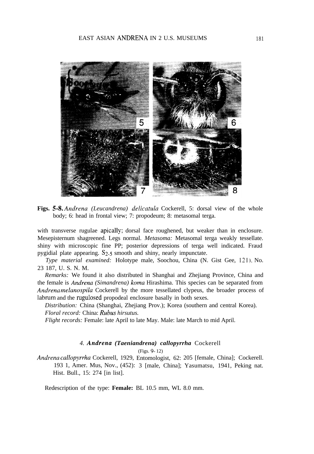

**Figs. 5-S.** *Andrena (Leucandrena) delicatula* Cockerell, 5: dorsal view of the whole body; 6: head in frontal view; 7: propodeum; 8: metasomal terga.

with transverse rugulae apically; dorsal face roughened, but weaker than in enclosure. Mesepisternum shagreened. Legs normal. *Metasoma:* Metasomal terga weakly tessellate. shiny with microscopic fine PP; posterior depressions of terga well indicated. Fraud pygidial plate appearing.  $S_2$ -5 smooth and shiny, nearly impunctate.

*Type material examined:* Holotype male, Soochou, China (N. Gist Gee, 121), No. 23 187, U. S. N. M.

*Remarks:* We found it also distributed in Shanghai and Zhejiang Province, China and the female is *Andrena (Simandrena) koma* Hirashima. This species can be separated from *Andrena melanospila* Cockerell by the more tessellated clypeus, the broader process of labrum and the rugulosed propodeal enclosure basally in both sexes.

*Distribution:* China (Shanghai, Zhejiang Prov.); Korea (southern and central Korea). *Floral record:* China: *Rubus hirsutus.*

*Flight records:* Female: late April to late May. Male: late March to mid April.

## *4. Andrena (Taeniandrena) callopyrrha* Cockerell

(Figs. 9- 12)

*Andrena callopyrrha* Cockerell, 1929, Entomologist, 62: 205 [female, China]; Cockerell. 193 1, Amer. Mus, Nov., (452): 3 [male, China]; Yasumatsu, 1941, Peking nat. Hist. Bull., 15: 274 [in list].

Redescription of the type: **Female:** BL 10.5 mm, WL 8.0 mm.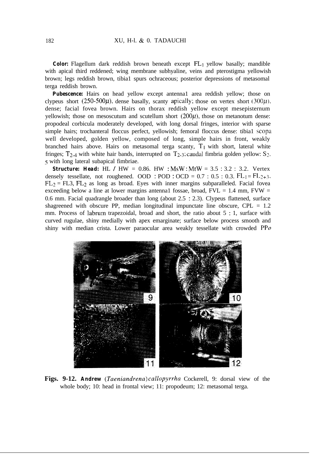*Color:* Flagellum dark reddish brown beneath except FL<sub>1</sub> yellow basally; mandible with apical third reddened; wing membrane subhyaline, veins and pterostigma yellowish brown; legs reddish brown, tibia1 spurs ochraceous; posterior depressions of metasomal terga reddish brown.

*Pubescence:* Hairs on head vellow except antennal area reddish vellow; those on clypeus short (250-500 $\mu$ ), dense basally, scanty apically; those on vertex short (300 $\mu$ ). dense; facial fovea brown. Hairs on thorax reddish yellow except mesepisternum vellowish; those on mesoscutum and scutellum short  $(200\mu)$ , those on metanotum dense: propodeal corbicula moderately developed, with long dorsal fringes, interior with sparse simple hairs; trochanteral floccus perfect, yellowish; femoral floccus dense: tibia1 scopa well developed, golden yellow, composed of long, simple hairs in front, weakly branched hairs above. Hairs on metasomal terga scanty,  $T_1$  with short, lateral white fringes;  $T_{2-4}$  with white hair bands, interrupted on  $T_{2-3}$ ; caudal fimbria golden yellow: S<sub>2</sub>. <sup>5</sup> with long lateral subapical fimbriae.

**Structure: Head:** HL / HW = 0.86. HW :  $M_s$  :  $M_t = 3.5 : 3.2 : 3.2$ . Vertex densely tessellate, not roughened. OOD : POD : OCD =  $0.7 : 0.5 : 0.3$ .  $FL_1 = FL_{2+3}$ .  $FL_2 = FL3$ ,  $FL_2$  as long as broad. Eyes with inner margins subparalleled. Facial fovea exceeding below a line at lower margins antenna1 fossae, broad,  $FVL = 1.4$  mm,  $FVW =$ 0.6 mm. Facial quadrangle broader than long (about 2.5 : 2.3). Clypeus flattened, surface shagreened with obscure PP, median longitudinal impunctate line obscure, CPL = 1.2 mm. Process of labrum trapezoidal, broad and short, the ratio about 5 : 1, surface with curved rugulae, shiny medially with apex emarginate; surface below process smooth and shiny with median crista. Lower paraocular area weakly tessellate with crowded  $PP\varphi$ 



**Figs. 9-12.** *Andrew (7'aeniandrena) callopyrrha* Cockerell, 9: dorsal view of the whole body; 10: head in frontal view; 11: propodeum; 12: metasomal terga.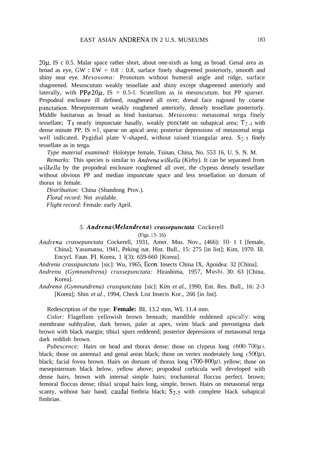$20\mu$ , IS c 0.5. Malar space rather short, about one-sixth as long as broad. Genal area as broad as eye,  $GW : EW = 0.8 : 0.8$ , surface finely shagreened posteriorly, smooth and shiny near eye. *Mesosoma:* Pronotum without humeral angle and ridge, surface shagreened. Mesoscutum weakly tessellate and shiny except shagreened anteriorly and laterally, with PP $\phi$ 20 $\mu$ , IS = 0.5-l. Scutellum as in mesoscutum. but PP sparser. Propodeal enclosure ill defined, roughened all over; dorsal face rugosed by coarse punctation. Mesepisternum weakly roughened anteriorly, densely tessellate posteriorly. Middle basitarsus as broad as hind basitarsus. *Metasoma:* metasomal terga finely tessellate;  $T_1$  nearly impunctate basally, weakly punctate on subapical area;  $T_{2-4}$  with dense minute PP, IS  $=1$ , sparse on apical area; posterior depressions of metasomal terga well indicated. Pygidial plate V-shaped, without raised triangular area.  $S<sub>2</sub>$ -5 finely tessellate as in terga.

*Type material examined:* Holotype female, Tsinan, China, No. 553 16, U. S. N. M.

*Remarks:* This species is similar to *Andrena wilkellu* (Kirby). It can be separated from *wilkella* by the propodeal enclosure roughened all over, the clypeus densely tessellate without obvious PP and median impunctate space and less tessellation on dorsum of thorax in female.

*Distribution:* China (Shandong Prov.).

*Floral record:* Not available.

*Flight record:* Female: early April.

# *5. Andrena (Melandrena) crassepunctata* Cockerell

(Figs. 13- 16)

*Andrena crussepunctata* Cockerell, 1931, Amer. Mus. Nov., (466): lo- 1 1 [female, China]; Yasumatsu, 1941, Peking nat. Hist. Bull., 15: 275 [in list]; Kim, 1970. Ill. Encycl. Faun. Fl. Korea, 1 l(3): 659-660 [Korea].

*Andrenu crassipunctatu* [sic]: Wu, 1965, Econ. Insects China IX, Apoidea: 32 [China].

- *Andrenu (Gymnandrena) crussepunctata:* Hirashima, 1957, Mushi. 30: 63 [China, Korea].
- *Andrena (Gymnundrena) crusspunctata* [sic]: Kim *et al.,* 1990, Ent. Res. Bull., 16: 2-3 [Korea]; Shin *et al.*, 1994, Check List Insects Kor., 266 [in list].

Redescription of the type: **Female:** BL 13.2 mm, WL 11.4 mm.

*Color:* Flagellum yellowish brown beneath; mandible reddened apically; wing membrane subhyaline, dark brown, paler at apex, veins black and pterostigma dark brown with black margin; tibia1 spurs reddened; posterior depressions of metasomal terga dark reddish brown.

*Pubescence:* Hairs on head and thorax dense; those on clypeus long  $(600-700\mu)$ . black; those on antenna1 and genal areas black; those on vertex moderately long  $(500\mu)$ . black; facial fovea brown. Hairs on dorsum of thorax long (700-800 $\mu$ ), yellow; those on mesepisternum black below, yellow above; propodeal corbicula well developed with dense hairs, brown with internal simple hairs; trochanteral floccus perfect. brown; femoral floccus dense; tibia1 scopal hairs long, simple, brown. Hairs on metasomal terga scanty, without hair band; caudal fimbria black;  $S_{2-5}$  with complete black subapical fimbriae.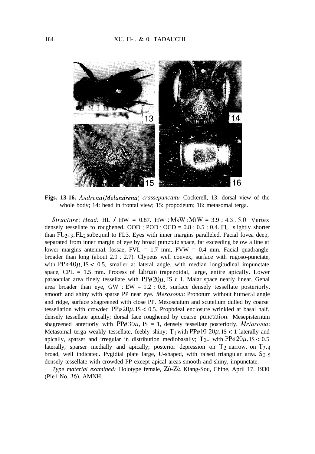

**Figs. 13-16.** *Andrena (Melandrena) crassepunctutu* Cockerell, 13: dorsal view of the whole body; 14: head in frontal view; 15: propodeum; 16: metasomal terga.

*Stra-ture: Head:* HL / HW = 0.87. HW : MsW : MtW = 3.9 : 4.3 : 5.0. Vertex densely tessellate to roughened. OOD :  $POD : OCD = 0.8 : 0.5 : 0.4$ . FL<sub>1</sub> slightly shorter than  $FL_{2+3}$ ,  $FL_2$  subequal to FL3. Eyes with inner margins paralleled. Facial fovea deep, separated from inner margin of eye by broad punctate space, far exceeding below a line at lower margins antenna1 fossae,  $FVL = 1.7$  mm,  $FVW = 0.4$  mm. Facial quadrangle broader than long (about 2.9 : 2.7). Clypeus well convex, surface with rugoso-punctate, with  $PP\varphi$  40 $\mu$ , IS < 0.5, smaller at lateral angle, with median longitudinal impunctate space,  $CPL = 1.5$  mm. Process of labrum trapezoidal, large, entire apically. Lower paraocular area finely tessellate with  $PP\varphi 20\mu$ , IS c 1. Malar space nearly linear. Genal area broader than eye, GW :  $EW = 1.2$  : 0.8, surface densely tessellate posteriorly. smooth and shiny with sparse PP near eye. *Mesosomu:* Pronotum without humeral angle and ridge, surface shagreened with close PP. Mesoscutum and scutellum dulled by coarse tessellation with crowded  $PP\varphi 20\mu$ , IS < 0.5. Propbdeal enclosure wrinkled at basal half. densely tessellate apically; dorsal face roughened by coarse punctation. Mesepisternum shagreened anteriorly with  $PP\phi 30\mu$ , IS = 1, densely tessellate posteriorly. *Metasoma*: Metasomal terga weakly tessellate, feebly shiny;  $T_1$  with  $PP\phi$ 10-20 $\mu$ , IS < 1 laterally and apically, sparser and irregular in distribution mediobasally;  $T_{2-4}$  with PP $\phi$  20 $\mu$ , IS < 0.5 laterally, sparser medially and apically; posterior depression on  $T_2$  narrow. on  $T_{3-4}$ broad, well indicated. Pygidial plate large, U-shaped, with raised triangular area.  $S_{2-5}$ densely tessellate with crowded PP except apical areas smooth and shiny, impunctate.

*Type material examined:* Holotype female, Zô-Zè, Kiang-Sou, Chine, April 17. 1930 (Pie1 No. 36), AMNH.